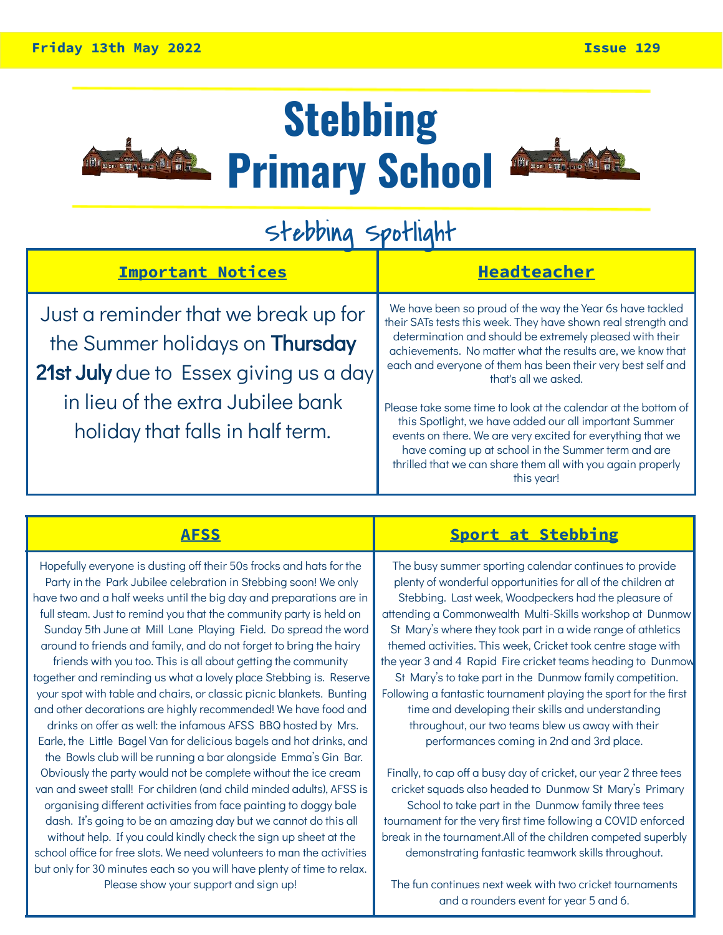

## **Stebbing Primary School**



### Stebbing Spotlight

| <b>Important Notices</b>                                                       | <b>Headteacher</b>                                                                                                                                                                                                                                                                                                          |  |
|--------------------------------------------------------------------------------|-----------------------------------------------------------------------------------------------------------------------------------------------------------------------------------------------------------------------------------------------------------------------------------------------------------------------------|--|
| Just a reminder that we break up for<br>the Summer holidays on <b>Thursday</b> | We have been so proud of the way the Year 6s have tackled<br>their SATs tests this week. They have shown real strength and<br>determination and should be extremely pleased with their<br>achievements. No matter what the results are, we know that                                                                        |  |
| 21st July due to Essex giving us a day                                         | each and everyone of them has been their very best self and<br>that's all we asked.                                                                                                                                                                                                                                         |  |
| in lieu of the extra Jubilee bank<br>holiday that falls in half term.          | Please take some time to look at the calendar at the bottom of<br>this Spotlight, we have added our all important Summer<br>events on there. We are very excited for everything that we<br>have coming up at school in the Summer term and are<br>thrilled that we can share them all with you again properly<br>this year! |  |

Hopefully everyone is dusting off their 50s frocks and hats for the Party in the Park Jubilee celebration in Stebbing soon! We only have two and a half weeks until the big day and preparations are in full steam. Just to remind you that the community party is held on Sunday 5th June at Mill Lane Playing Field. Do spread the word around to friends and family, and do not forget to bring the hairy friends with you too. This is all about getting the community together and reminding us what a lovely place Stebbing is. Reserve your spot with table and chairs, or classic picnic blankets. Bunting and other decorations are highly recommended! We have food and drinks on offer as well: the infamous AFSS BBQ hosted by Mrs. Earle, the Little Bagel Van for delicious bagels and hot drinks, and the Bowls club will be running a bar alongside Emma's Gin Bar. Obviously the party would not be complete without the ice cream van and sweet stall! For children (and child minded adults), AFSS is organising different activities from face painting to doggy bale dash. It's going to be an amazing day but we cannot do this all without help. If you could kindly check the sign up sheet at the school office for free slots. We need volunteers to man the activities but only for 30 minutes each so you will have plenty of time to relax. Please show your support and sign up!

#### **AFSS Sport at Stebbing**

The busy summer sporting calendar continues to provide plenty of wonderful opportunities for all of the children at Stebbing. Last week, Woodpeckers had the pleasure of attending a Commonwealth Multi-Skills workshop at Dunmow St Mary's where they took part in a wide range of athletics themed activities. This week, Cricket took centre stage with the year 3 and 4 Rapid Fire cricket teams heading to Dunmow St Mary's to take part in the Dunmow family competition. Following a fantastic tournament playing the sport for the first time and developing their skills and understanding throughout, our two teams blew us away with their performances coming in 2nd and 3rd place.

Finally, to cap off a busy day of cricket, our year 2 three tees cricket squads also headed to Dunmow St Mary's Primary School to take part in the Dunmow family three tees tournament for the very first time following a COVID enforced break in the tournament.All of the children competed superbly demonstrating fantastic teamwork skills throughout.

The fun continues next week with two cricket tournaments and a rounders event for year 5 and 6.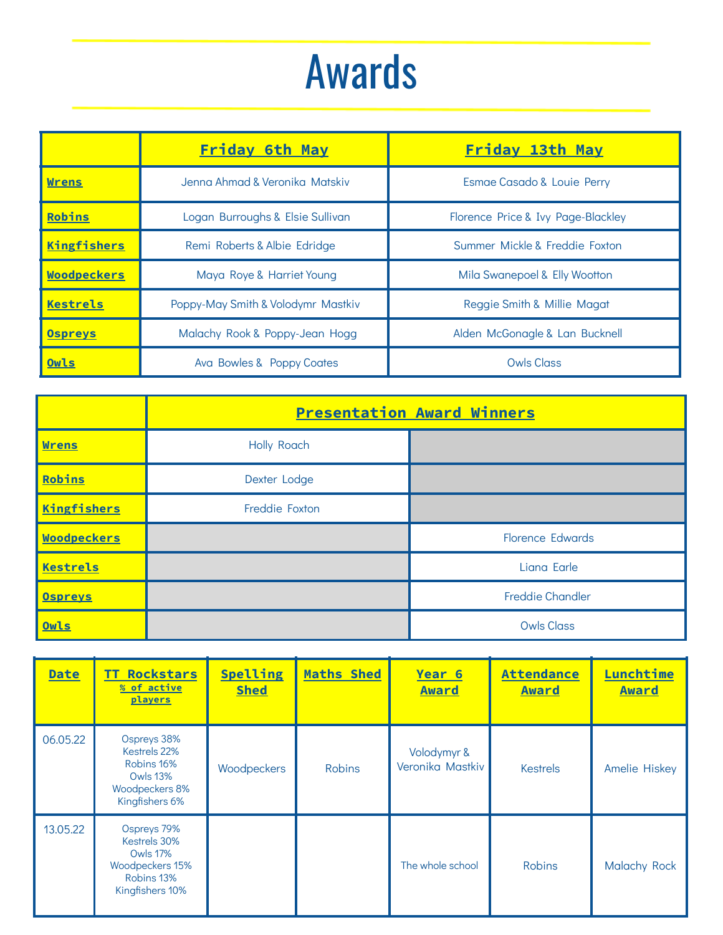## Awards

| <b>Friday 6th May</b> |                                                                | <u>Friday 13th May</u>             |  |
|-----------------------|----------------------------------------------------------------|------------------------------------|--|
| <b>Wrens</b>          | Jenna Ahmad & Veronika Matskiv                                 | Esmae Casado & Louie Perry         |  |
| Robins                | Logan Burroughs & Elsie Sullivan                               | Florence Price & Ivy Page-Blackley |  |
| Kingfishers           | Summer Mickle & Freddie Foxton<br>Remi Roberts & Albie Edridge |                                    |  |
| Woodpeckers           | Maya Roye & Harriet Young                                      | Mila Swanepoel & Elly Wootton      |  |
| <b>Kestrels</b>       | Poppy-May Smith & Volodymr Mastkiv                             | Reggie Smith & Millie Magat        |  |
| <b>Ospreys</b>        | Malachy Rook & Poppy-Jean Hogg                                 | Alden McGonagle & Lan Bucknell     |  |
| Owls                  | Ava Bowles & Poppy Coates                                      | Owls Class                         |  |

|                    | <b>Presentation Award Winners</b> |                         |  |
|--------------------|-----------------------------------|-------------------------|--|
| <b>Wrens</b>       | <b>Holly Roach</b>                |                         |  |
| Robins             | Dexter Lodge                      |                         |  |
| <b>Kingfishers</b> | Freddie Foxton                    |                         |  |
| <b>Woodpeckers</b> |                                   | <b>Florence Edwards</b> |  |
| Kestrels           |                                   | Liana Earle             |  |
| <b>Ospreys</b>     |                                   | <b>Freddie Chandler</b> |  |
| Owls               |                                   | <b>Owls Class</b>       |  |

| <b>Date</b> | <b>Rockstars</b><br>TT.<br>% of active<br>players                                                  | <b>Spelling</b><br><b>Shed</b> | <b>Maths Shed</b> | Year 6<br>Award                 | <b>Attendance</b><br>Award | Lunchtime<br><b>Award</b> |
|-------------|----------------------------------------------------------------------------------------------------|--------------------------------|-------------------|---------------------------------|----------------------------|---------------------------|
| 06.05.22    | Ospreys 38%<br>Kestrels 22%<br>Robins 16%<br><b>Owls 13%</b><br>Woodpeckers 8%<br>Kingfishers 6%   | Woodpeckers                    | <b>Robins</b>     | Volodymyr &<br>Veronika Mastkiv | <b>Kestrels</b>            | <b>Amelie Hiskey</b>      |
| 13.05.22    | Ospreys 79%<br>Kestrels 30%<br><b>Owls 17%</b><br>Woodpeckers 15%<br>Robins 13%<br>Kingfishers 10% |                                |                   | The whole school                | <b>Robins</b>              | <b>Malachy Rock</b>       |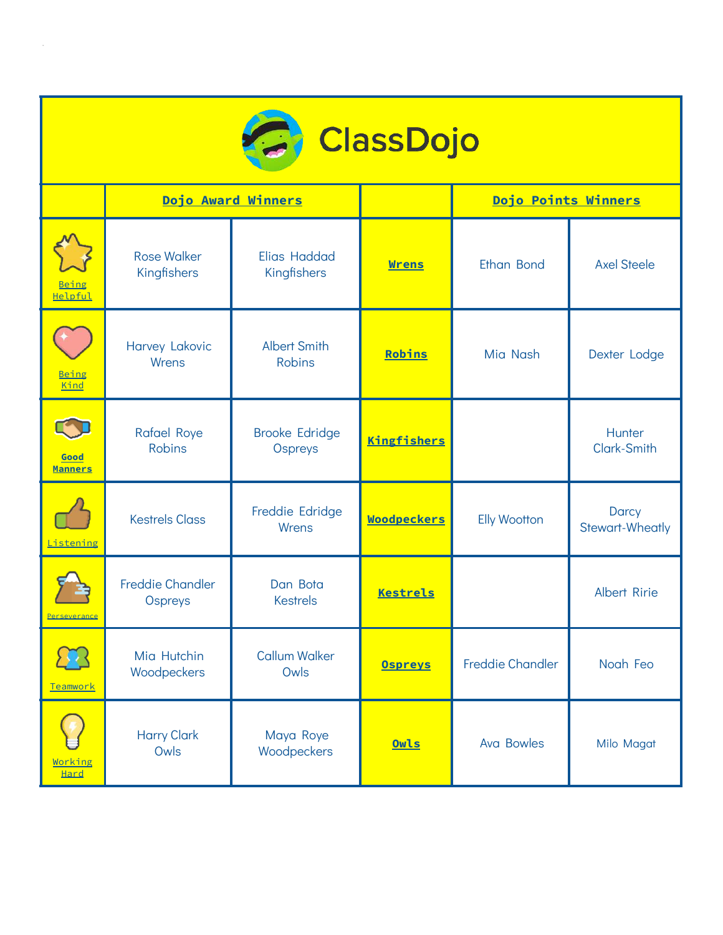

|                        |                                     | Dojo Award Winners                   |                    | Dojo Points Winners     |                                 |
|------------------------|-------------------------------------|--------------------------------------|--------------------|-------------------------|---------------------------------|
| Being<br>Helpful       | <b>Rose Walker</b><br>Kingfishers   | Elias Haddad<br>Kingfishers          | <b>Wrens</b>       | <b>Ethan Bond</b>       | <b>Axel Steele</b>              |
| Being<br>Kind          | Harvey Lakovic<br>Wrens             | <b>Albert Smith</b><br><b>Robins</b> | Robins             | Mia Nash                | Dexter Lodge                    |
| Good<br><b>Manners</b> | <b>Rafael Roye</b><br><b>Robins</b> | <b>Brooke Edridge</b><br>Ospreys     | Kingfishers        |                         | Hunter<br>Clark-Smith           |
| Listening              | <b>Kestrels Class</b>               | Freddie Edridge<br>Wrens             | <b>Woodpeckers</b> | <b>Elly Wootton</b>     | Darcy<br><b>Stewart-Wheatly</b> |
| <u>Perseverance</u>    | <b>Freddie Chandler</b><br>Ospreys  | Dan Bota<br><b>Kestrels</b>          | <b>Kestrels</b>    |                         | <b>Albert Ririe</b>             |
| Teamwork               | Mia Hutchin<br>Woodpeckers          | <b>Callum Walker</b><br>Owls         | <b>Ospreys</b>     | <b>Freddie Chandler</b> | Noah Feo                        |
| Working<br><b>Hard</b> | <b>Harry Clark</b><br>Owls          | Maya Roye<br>Woodpeckers             | Owls               | <b>Ava Bowles</b>       | Milo Magat                      |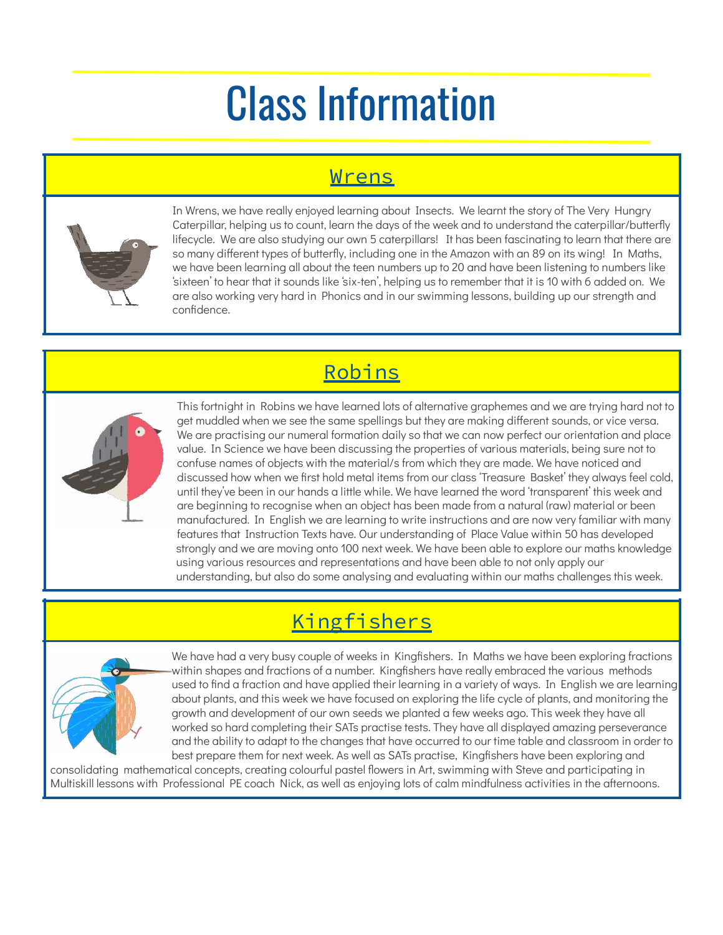# Class Information

#### Wrens



In Wrens, we have really enjoyed learning about Insects. We learnt the story of The Very Hungry Caterpillar, helping us to count, learn the days of the week and to understand the caterpillar/butterfly lifecycle. We are also studying our own 5 caterpillars! It has been fascinating to learn that there are so many different types of butterfly, including one in the Amazon with an 89 on its wing! In Maths, we have been learning all about the teen numbers up to 20 and have been listening to numbers like 'sixteen' to hear that it sounds like 'six-ten', helping us to remember that it is 10 with 6 added on. We are also working very hard in Phonics and in our swimming lessons, building up our strength and confidence.

#### Robins



This fortnight in Robins we have learned lots of alternative graphemes and we are trying hard not to get muddled when we see the same spellings but they are making different sounds, or vice versa. We are practising our numeral formation daily so that we can now perfect our orientation and place value. In Science we have been discussing the properties of various materials, being sure not to confuse names of objects with the material/s from which they are made. We have noticed and discussed how when we first hold metal items from our class 'Treasure Basket' they always feel cold, until they've been in our hands a little while. We have learned the word 'transparent' this week and are beginning to recognise when an object has been made from a natural (raw) material or been manufactured. In English we are learning to write instructions and are now very familiar with many features that Instruction Texts have. Our understanding of Place Value within 50 has developed strongly and we are moving onto 100 next week. We have been able to explore our maths knowledge using various resources and representations and have been able to not only apply our understanding, but also do some analysing and evaluating within our maths challenges this week.

### **Kingfishers**



We have had a very busy couple of weeks in Kingfishers. In Maths we have been exploring fractions within shapes and fractions of a number. Kingfishers have really embraced the various methods used to find a fraction and have applied their learning in a variety of ways. In English we are learning about plants, and this week we have focused on exploring the life cycle of plants, and monitoring the growth and development of our own seeds we planted a few weeks ago. This week they have all worked so hard completing their SATs practise tests. They have all displayed amazing perseverance and the ability to adapt to the changes that have occurred to our time table and classroom in order to best prepare them for next week. As well as SATs practise, Kingfishers have been exploring and

consolidating mathematical concepts, creating colourful pastel flowers in Art, swimming with Steve and participating in Multiskill lessons with Professional PE coach Nick, as well as enjoying lots of calm mindfulness activities in the afternoons.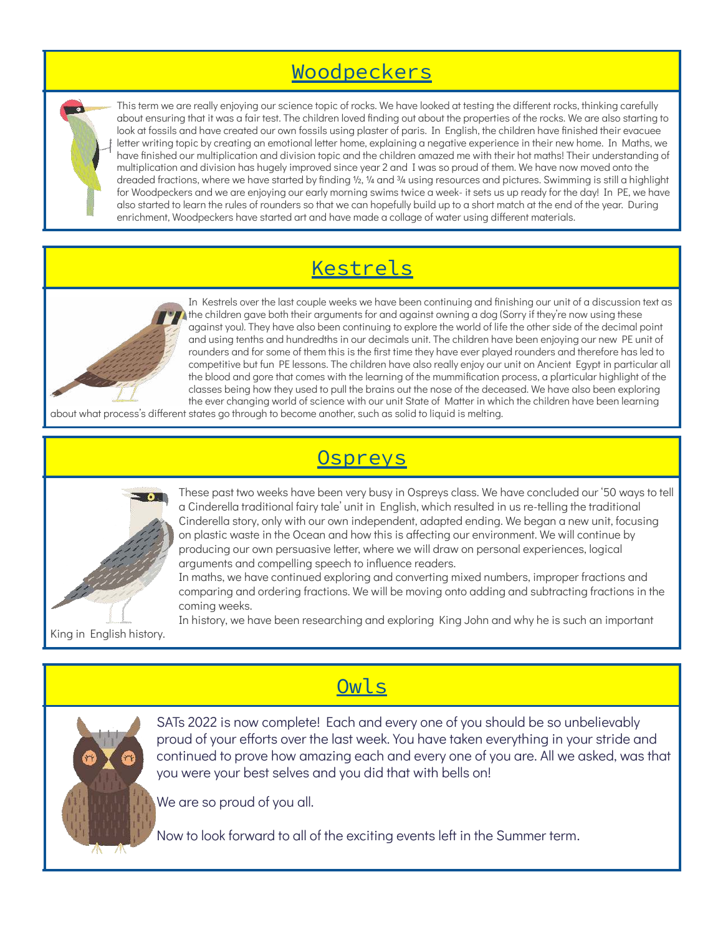#### Woodpeckers

This term we are really enjoying our science topic of rocks. We have looked at testing the different rocks, thinking carefully about ensuring that it was a fair test. The children loved finding out about the properties of the rocks. We are also starting to look at fossils and have created our own fossils using plaster of paris. In English, the children have finished their evacuee letter writing topic by creating an emotional letter home, explaining a negative experience in their new home. In Maths, we have finished our multiplication and division topic and the children amazed me with their hot maths! Their understanding of multiplication and division has hugely improved since year 2 and I was so proud of them. We have now moved onto the dreaded fractions, where we have started by finding 1/2, 1/4 and 3/4 using resources and pictures. Swimming is still a highlight for Woodpeckers and we are enjoying our early morning swims twice a week- it sets us up ready for the day! In PE, we have also started to learn the rules of rounders so that we can hopefully build up to a short match at the end of the year. During enrichment, Woodpeckers have started art and have made a collage of water using different materials.

#### Kestrels



In Kestrels over the last couple weeks we have been continuing and finishing our unit of a discussion text as the children gave both their arguments for and against owning a dog (Sorry if they're now using these against you). They have also been continuing to explore the world of life the other side of the decimal point and using tenths and hundredths in our decimals unit. The children have been enjoying our new PE unit of rounders and for some of them this is the first time they have ever played rounders and therefore has led to competitive but fun PE lessons. The children have also really enjoy our unit on Ancient Egypt in particular all the blood and gore that comes with the learning of the mummification process, a p[articular highlight of the classes being how they used to pull the brains out the nose of the deceased. We have also been exploring the ever changing world of science with our unit State of Matter in which the children have been learning

about what process's different states go through to become another, such as solid to liquid is melting.

### **Ospreys**



King in English history.

These past two weeks have been very busy in Ospreys class. We have concluded our '50 ways to tell a Cinderella traditional fairy tale' unit in English, which resulted in us re-telling the traditional Cinderella story, only with our own independent, adapted ending. We began a new unit, focusing on plastic waste in the Ocean and how this is affecting our environment. We will continue by producing our own persuasive letter, where we will draw on personal experiences, logical arguments and compelling speech to influence readers.

In maths, we have continued exploring and converting mixed numbers, improper fractions and comparing and ordering fractions. We will be moving onto adding and subtracting fractions in the coming weeks.

In history, we have been researching and exploring King John and why he is such an important

Owls

SATs 2022 is now complete! Each and every one of you should be so unbelievably proud of your efforts over the last week. You have taken everything in your stride and continued to prove how amazing each and every one of you are. All we asked, was that you were your best selves and you did that with bells on!

We are so proud of you all.

Now to look forward to all of the exciting events left in the Summer term.